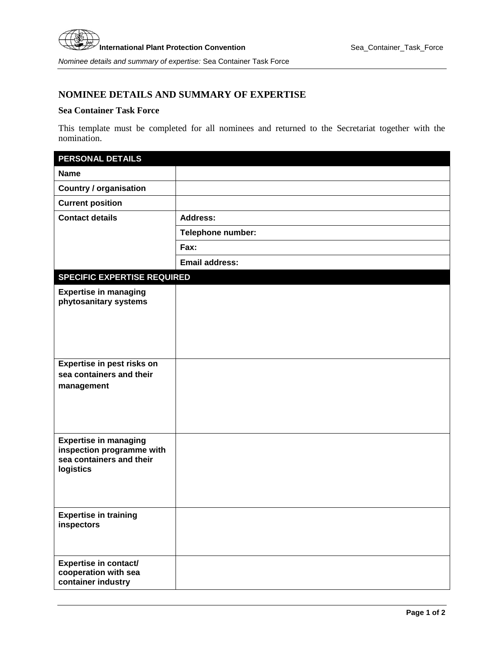## **NOMINEE DETAILS AND SUMMARY OF EXPERTISE**

## **Sea Container Task Force**

This template must be completed for all nominees and returned to the Secretariat together with the nomination.

| <b>PERSONAL DETAILS</b>                                   |                       |
|-----------------------------------------------------------|-----------------------|
| <b>Name</b>                                               |                       |
| <b>Country / organisation</b>                             |                       |
| <b>Current position</b>                                   |                       |
| <b>Contact details</b>                                    | <b>Address:</b>       |
|                                                           | Telephone number:     |
|                                                           | Fax:                  |
|                                                           | <b>Email address:</b> |
| <b>SPECIFIC EXPERTISE REQUIRED</b>                        |                       |
| <b>Expertise in managing</b>                              |                       |
| phytosanitary systems                                     |                       |
|                                                           |                       |
|                                                           |                       |
|                                                           |                       |
| Expertise in pest risks on<br>sea containers and their    |                       |
| management                                                |                       |
|                                                           |                       |
|                                                           |                       |
|                                                           |                       |
| <b>Expertise in managing</b><br>inspection programme with |                       |
| sea containers and their                                  |                       |
| logistics                                                 |                       |
|                                                           |                       |
|                                                           |                       |
| <b>Expertise in training</b><br>inspectors                |                       |
|                                                           |                       |
|                                                           |                       |
| <b>Expertise in contact/</b><br>cooperation with sea      |                       |
| container industry                                        |                       |